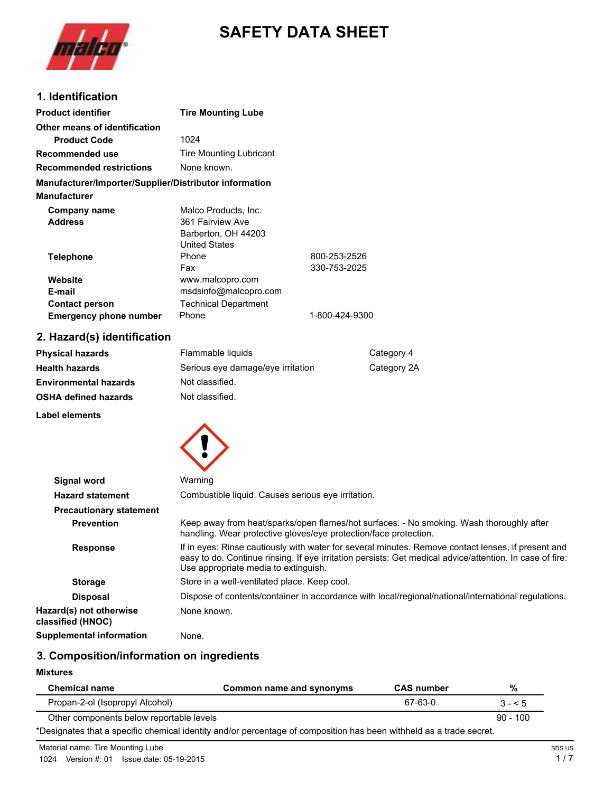

# **SAFETY DATA SHEET**

## **1. Identification**

| <b>Product identifier</b>                              | <b>Tire Mounting Lube</b>      |                |
|--------------------------------------------------------|--------------------------------|----------------|
| Other means of identification                          |                                |                |
| <b>Product Code</b>                                    | 1024                           |                |
| Recommended use                                        | <b>Tire Mounting Lubricant</b> |                |
| <b>Recommended restrictions</b>                        | None known.                    |                |
| Manufacturer/Importer/Supplier/Distributor information |                                |                |
| <b>Manufacturer</b>                                    |                                |                |
| Company name                                           | Malco Products, Inc.           |                |
| <b>Address</b>                                         | 361 Fairview Ave               |                |
|                                                        | Barberton, OH 44203            |                |
|                                                        | <b>United States</b>           |                |
| <b>Telephone</b>                                       | Phone                          | 800-253-2526   |
|                                                        | Fax                            | 330-753-2025   |
| Website                                                | www.malcopro.com               |                |
| E-mail                                                 | msdsinfo@malcopro.com          |                |
| <b>Contact person</b>                                  | <b>Technical Department</b>    |                |
| <b>Emergency phone number</b>                          | Phone                          | 1-800-424-9300 |

# **2. Hazard(s) identification**

| <b>Physical hazards</b>      | Flammable liquids                 | Category 4  |
|------------------------------|-----------------------------------|-------------|
| <b>Health hazards</b>        | Serious eye damage/eye irritation | Category 2A |
| <b>Environmental hazards</b> | Not classified.                   |             |
| <b>OSHA defined hazards</b>  | Not classified.                   |             |
|                              |                                   |             |

#### **Label elements**



| Signal word                                  | Warning                                                                                                                                                                                                                                                |
|----------------------------------------------|--------------------------------------------------------------------------------------------------------------------------------------------------------------------------------------------------------------------------------------------------------|
| <b>Hazard statement</b>                      | Combustible liquid. Causes serious eye irritation.                                                                                                                                                                                                     |
| <b>Precautionary statement</b>               |                                                                                                                                                                                                                                                        |
| <b>Prevention</b>                            | Keep away from heat/sparks/open flames/hot surfaces. - No smoking. Wash thoroughly after<br>handling. Wear protective gloves/eye protection/face protection.                                                                                           |
| <b>Response</b>                              | If in eyes: Rinse cautiously with water for several minutes. Remove contact lenses, if present and<br>easy to do. Continue rinsing. If eye irritation persists: Get medical advice/attention. In case of fire:<br>Use appropriate media to extinguish. |
| <b>Storage</b>                               | Store in a well-ventilated place. Keep cool.                                                                                                                                                                                                           |
| <b>Disposal</b>                              | Dispose of contents/container in accordance with local/regional/national/international regulations.                                                                                                                                                    |
| Hazard(s) not otherwise<br>classified (HNOC) | None known.                                                                                                                                                                                                                                            |
| Supplemental information                     | None.                                                                                                                                                                                                                                                  |

# **3. Composition/information on ingredients**

**Mixtures**

| <b>Chemical name</b>                                                                                                | Common name and synonyms | <b>CAS number</b> | %          |
|---------------------------------------------------------------------------------------------------------------------|--------------------------|-------------------|------------|
| Propan-2-ol (Isopropyl Alcohol)                                                                                     |                          | 67-63-0           | $3 - 5$    |
| Other components below reportable levels                                                                            |                          |                   | $90 - 100$ |
| *Designates that a specific chemical identity and/or percentage of composition has been withheld as a trade secret. |                          |                   |            |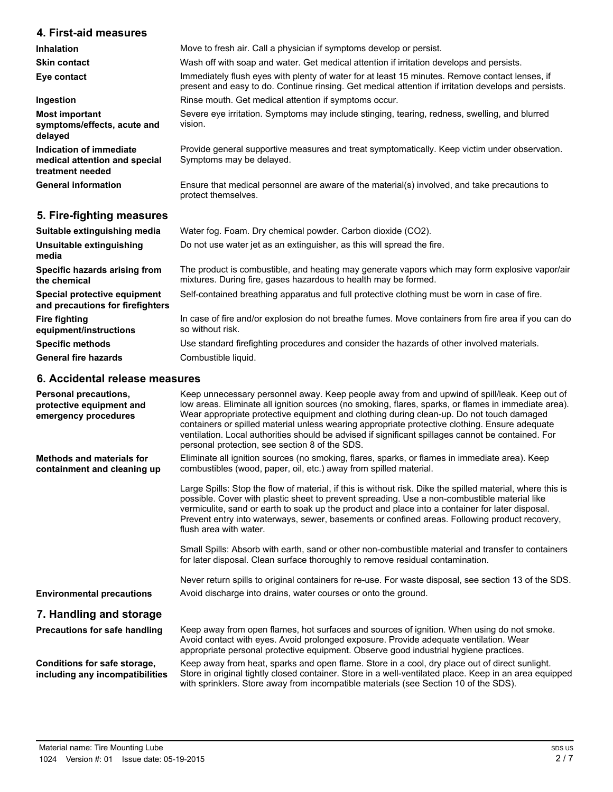## **4. First-aid measures**

| <b>Inhalation</b>                                                            | Move to fresh air. Call a physician if symptoms develop or persist.                                                                                                                                    |
|------------------------------------------------------------------------------|--------------------------------------------------------------------------------------------------------------------------------------------------------------------------------------------------------|
| <b>Skin contact</b>                                                          | Wash off with soap and water. Get medical attention if irritation develops and persists.                                                                                                               |
| Eye contact                                                                  | Immediately flush eyes with plenty of water for at least 15 minutes. Remove contact lenses, if<br>present and easy to do. Continue rinsing. Get medical attention if irritation develops and persists. |
| Ingestion                                                                    | Rinse mouth. Get medical attention if symptoms occur.                                                                                                                                                  |
| <b>Most important</b><br>symptoms/effects, acute and<br>delayed              | Severe eye irritation. Symptoms may include stinging, tearing, redness, swelling, and blurred<br>vision.                                                                                               |
| Indication of immediate<br>medical attention and special<br>treatment needed | Provide general supportive measures and treat symptomatically. Keep victim under observation.<br>Symptoms may be delayed.                                                                              |
| <b>General information</b>                                                   | Ensure that medical personnel are aware of the material(s) involved, and take precautions to<br>protect themselves.                                                                                    |
| 5. Fire-fighting measures                                                    |                                                                                                                                                                                                        |
| Suitable extinguishing media                                                 | Water fog. Foam. Dry chemical powder. Carbon dioxide (CO2).                                                                                                                                            |

| Unsuitable extinguishing<br>media                                | Do not use water jet as an extinguisher, as this will spread the fire.                                                                                            |
|------------------------------------------------------------------|-------------------------------------------------------------------------------------------------------------------------------------------------------------------|
| Specific hazards arising from<br>the chemical                    | The product is combustible, and heating may generate vapors which may form explosive vapor/air<br>mixtures. During fire, gases hazardous to health may be formed. |
| Special protective equipment<br>and precautions for firefighters | Self-contained breathing apparatus and full protective clothing must be worn in case of fire.                                                                     |
| <b>Fire fighting</b><br>equipment/instructions                   | In case of fire and/or explosion do not breathe fumes. Move containers from fire area if you can do<br>so without risk.                                           |
| <b>Specific methods</b>                                          | Use standard firefighting procedures and consider the hazards of other involved materials.                                                                        |
| <b>General fire hazards</b>                                      | Combustible liquid.                                                                                                                                               |

#### **6. Accidental release measures**

| Personal precautions,<br>protective equipment and<br>emergency procedures | Keep unnecessary personnel away. Keep people away from and upwind of spill/leak. Keep out of<br>low areas. Eliminate all ignition sources (no smoking, flares, sparks, or flames in immediate area).<br>Wear appropriate protective equipment and clothing during clean-up. Do not touch damaged<br>containers or spilled material unless wearing appropriate protective clothing. Ensure adequate<br>ventilation. Local authorities should be advised if significant spillages cannot be contained. For<br>personal protection, see section 8 of the SDS. |
|---------------------------------------------------------------------------|------------------------------------------------------------------------------------------------------------------------------------------------------------------------------------------------------------------------------------------------------------------------------------------------------------------------------------------------------------------------------------------------------------------------------------------------------------------------------------------------------------------------------------------------------------|
| Methods and materials for<br>containment and cleaning up                  | Eliminate all ignition sources (no smoking, flares, sparks, or flames in immediate area). Keep<br>combustibles (wood, paper, oil, etc.) away from spilled material.                                                                                                                                                                                                                                                                                                                                                                                        |
|                                                                           | Large Spills: Stop the flow of material, if this is without risk. Dike the spilled material, where this is<br>possible. Cover with plastic sheet to prevent spreading. Use a non-combustible material like<br>vermiculite, sand or earth to soak up the product and place into a container for later disposal.<br>Prevent entry into waterways, sewer, basements or confined areas. Following product recovery,<br>flush area with water.                                                                                                                  |
|                                                                           | Small Spills: Absorb with earth, sand or other non-combustible material and transfer to containers<br>for later disposal. Clean surface thoroughly to remove residual contamination.                                                                                                                                                                                                                                                                                                                                                                       |
|                                                                           | Never return spills to original containers for re-use. For waste disposal, see section 13 of the SDS.                                                                                                                                                                                                                                                                                                                                                                                                                                                      |
| <b>Environmental precautions</b>                                          | Avoid discharge into drains, water courses or onto the ground.                                                                                                                                                                                                                                                                                                                                                                                                                                                                                             |
| 7. Handling and storage                                                   |                                                                                                                                                                                                                                                                                                                                                                                                                                                                                                                                                            |
| Precautions for safe handling                                             | Keep away from open flames, hot surfaces and sources of ignition. When using do not smoke.<br>Avoid contact with eyes. Avoid prolonged exposure. Provide adequate ventilation. Wear<br>appropriate personal protective equipment. Observe good industrial hygiene practices.                                                                                                                                                                                                                                                                               |
| Conditions for safe storage,<br>including any incompatibilities           | Keep away from heat, sparks and open flame. Store in a cool, dry place out of direct sunlight.<br>Store in original tightly closed container. Store in a well-ventilated place. Keep in an area equipped<br>with sprinklers. Store away from incompatible materials (see Section 10 of the SDS).                                                                                                                                                                                                                                                           |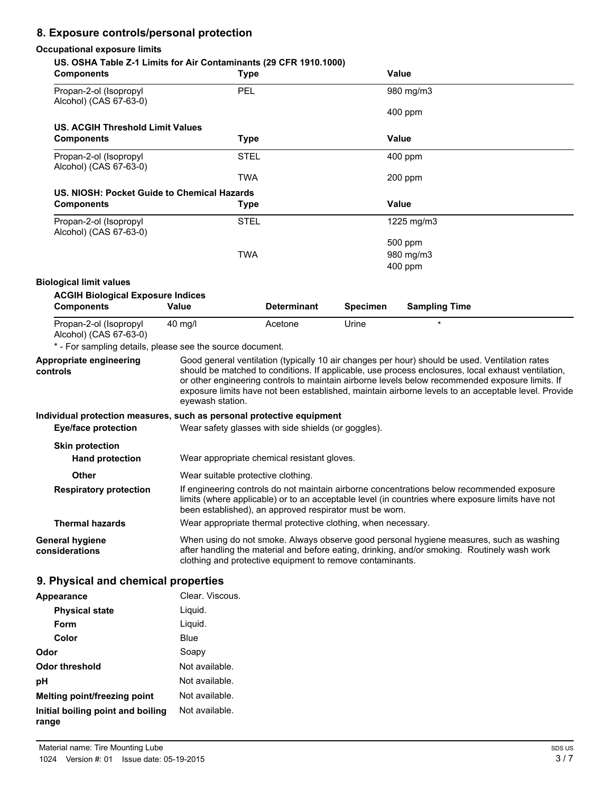# **8. Exposure controls/personal protection**

#### **Occupational exposure limits**

| US. OSHA Table Z-1 Limits for Air Contaminants (29 CFR 1910.1000)<br><b>Components</b> | <b>Type</b>                                                   |                    |                 | Value                                                                                                                                                                                                                                                                                                                                                                                                          |  |
|----------------------------------------------------------------------------------------|---------------------------------------------------------------|--------------------|-----------------|----------------------------------------------------------------------------------------------------------------------------------------------------------------------------------------------------------------------------------------------------------------------------------------------------------------------------------------------------------------------------------------------------------------|--|
| Propan-2-ol (Isopropyl<br>Alcohol) (CAS 67-63-0)                                       | PEL                                                           |                    |                 | 980 mg/m3                                                                                                                                                                                                                                                                                                                                                                                                      |  |
|                                                                                        |                                                               |                    |                 | $400$ ppm                                                                                                                                                                                                                                                                                                                                                                                                      |  |
| <b>US. ACGIH Threshold Limit Values</b><br><b>Components</b>                           |                                                               |                    |                 | Value                                                                                                                                                                                                                                                                                                                                                                                                          |  |
|                                                                                        | <b>Type</b>                                                   |                    |                 |                                                                                                                                                                                                                                                                                                                                                                                                                |  |
| Propan-2-ol (Isopropyl<br>Alcohol) (CAS 67-63-0)                                       | <b>STEL</b>                                                   |                    |                 | $400$ ppm                                                                                                                                                                                                                                                                                                                                                                                                      |  |
|                                                                                        | <b>TWA</b>                                                    |                    |                 | 200 ppm                                                                                                                                                                                                                                                                                                                                                                                                        |  |
| US. NIOSH: Pocket Guide to Chemical Hazards                                            |                                                               |                    |                 | <b>Value</b>                                                                                                                                                                                                                                                                                                                                                                                                   |  |
| <b>Components</b>                                                                      | <b>Type</b>                                                   |                    |                 |                                                                                                                                                                                                                                                                                                                                                                                                                |  |
| Propan-2-ol (Isopropyl<br>Alcohol) (CAS 67-63-0)                                       | <b>STEL</b>                                                   |                    |                 | 1225 mg/m3                                                                                                                                                                                                                                                                                                                                                                                                     |  |
|                                                                                        |                                                               |                    |                 | 500 ppm                                                                                                                                                                                                                                                                                                                                                                                                        |  |
|                                                                                        | <b>TWA</b>                                                    |                    |                 | 980 mg/m3                                                                                                                                                                                                                                                                                                                                                                                                      |  |
|                                                                                        |                                                               |                    |                 | $400$ ppm                                                                                                                                                                                                                                                                                                                                                                                                      |  |
| <b>Biological limit values</b>                                                         |                                                               |                    |                 |                                                                                                                                                                                                                                                                                                                                                                                                                |  |
| <b>ACGIH Biological Exposure Indices</b><br><b>Components</b>                          | <b>Value</b>                                                  | <b>Determinant</b> | <b>Specimen</b> | <b>Sampling Time</b>                                                                                                                                                                                                                                                                                                                                                                                           |  |
| Propan-2-ol (Isopropyl<br>Alcohol) (CAS 67-63-0)                                       | 40 mg/l                                                       | Acetone            | Urine           |                                                                                                                                                                                                                                                                                                                                                                                                                |  |
| * - For sampling details, please see the source document.                              |                                                               |                    |                 |                                                                                                                                                                                                                                                                                                                                                                                                                |  |
| Appropriate engineering<br>controls                                                    | eyewash station.                                              |                    |                 | Good general ventilation (typically 10 air changes per hour) should be used. Ventilation rates<br>should be matched to conditions. If applicable, use process enclosures, local exhaust ventilation,<br>or other engineering controls to maintain airborne levels below recommended exposure limits. If<br>exposure limits have not been established, maintain airborne levels to an acceptable level. Provide |  |
| Individual protection measures, such as personal protective equipment                  |                                                               |                    |                 |                                                                                                                                                                                                                                                                                                                                                                                                                |  |
| <b>Eye/face protection</b>                                                             | Wear safety glasses with side shields (or goggles).           |                    |                 |                                                                                                                                                                                                                                                                                                                                                                                                                |  |
| <b>Skin protection</b>                                                                 |                                                               |                    |                 |                                                                                                                                                                                                                                                                                                                                                                                                                |  |
| <b>Hand protection</b>                                                                 | Wear appropriate chemical resistant gloves.                   |                    |                 |                                                                                                                                                                                                                                                                                                                                                                                                                |  |
| <b>Other</b>                                                                           | Wear suitable protective clothing.                            |                    |                 |                                                                                                                                                                                                                                                                                                                                                                                                                |  |
| <b>Respiratory protection</b>                                                          | been established), an approved respirator must be worn.       |                    |                 | If engineering controls do not maintain airborne concentrations below recommended exposure<br>limits (where applicable) or to an acceptable level (in countries where exposure limits have not                                                                                                                                                                                                                 |  |
| <b>Thermal hazards</b>                                                                 | Wear appropriate thermal protective clothing, when necessary. |                    |                 |                                                                                                                                                                                                                                                                                                                                                                                                                |  |
| <b>General hygiene</b><br>considerations                                               | clothing and protective equipment to remove contaminants.     |                    |                 | When using do not smoke. Always observe good personal hygiene measures, such as washing<br>after handling the material and before eating, drinking, and/or smoking. Routinely wash work                                                                                                                                                                                                                        |  |
| 9. Physical and chemical properties                                                    |                                                               |                    |                 |                                                                                                                                                                                                                                                                                                                                                                                                                |  |
| Appearance                                                                             | Clear. Viscous.                                               |                    |                 |                                                                                                                                                                                                                                                                                                                                                                                                                |  |
|                                                                                        |                                                               |                    |                 |                                                                                                                                                                                                                                                                                                                                                                                                                |  |

| <b>APPGRANCE</b>                           | UILCII. VIJUUD. |
|--------------------------------------------|-----------------|
| <b>Physical state</b>                      | Liquid.         |
| Form                                       | Liquid.         |
| Color                                      | Blue            |
| Odor                                       | Soapy           |
| Odor threshold                             | Not available.  |
| рH                                         | Not available.  |
| Melting point/freezing point               | Not available.  |
| Initial boiling point and boiling<br>range | Not available.  |
|                                            |                 |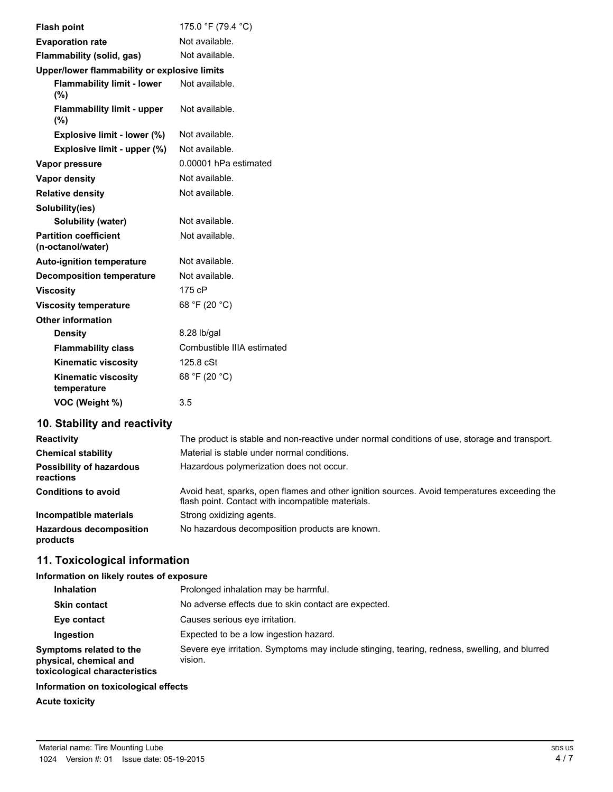|                  | <b>Flash point</b>                                | 175.0 °F (79.4 °C)         |
|------------------|---------------------------------------------------|----------------------------|
|                  | <b>Evaporation rate</b>                           | Not available.             |
|                  | Flammability (solid, gas)                         | Not available.             |
|                  | Upper/lower flammability or explosive limits      |                            |
|                  | <b>Flammability limit - lower</b><br>(%)          | Not available.             |
|                  | <b>Flammability limit - upper</b><br>$(\% )$      | Not available.             |
|                  | Explosive limit - lower (%)                       | Not available.             |
|                  | Explosive limit - upper (%)                       | Not available.             |
|                  | Vapor pressure                                    | 0.00001 hPa estimated      |
|                  | Vapor density                                     | Not available.             |
|                  | <b>Relative density</b>                           | Not available.             |
|                  | Solubility(ies)                                   |                            |
|                  | Solubility (water)                                | Not available.             |
|                  | <b>Partition coefficient</b><br>(n-octanol/water) | Not available.             |
|                  | <b>Auto-ignition temperature</b>                  | Not available.             |
|                  | <b>Decomposition temperature</b>                  | Not available.             |
| <b>Viscosity</b> |                                                   | 175 cP                     |
|                  | <b>Viscosity temperature</b>                      | 68 °F (20 °C)              |
|                  | Other information                                 |                            |
|                  | <b>Density</b>                                    | 8.28 lb/gal                |
|                  | <b>Flammability class</b>                         | Combustible IIIA estimated |
|                  | <b>Kinematic viscosity</b>                        | 125.8 cSt                  |
|                  | <b>Kinematic viscosity</b><br>temperature         | 68 °F (20 °C)              |
|                  | VOC (Weight %)                                    | 3.5                        |

# **10. Stability and reactivity**

| <b>Reactivity</b>                            | The product is stable and non-reactive under normal conditions of use, storage and transport.                                                     |
|----------------------------------------------|---------------------------------------------------------------------------------------------------------------------------------------------------|
| <b>Chemical stability</b>                    | Material is stable under normal conditions.                                                                                                       |
| <b>Possibility of hazardous</b><br>reactions | Hazardous polymerization does not occur.                                                                                                          |
| <b>Conditions to avoid</b>                   | Avoid heat, sparks, open flames and other ignition sources. Avoid temperatures exceeding the<br>flash point. Contact with incompatible materials. |
| Incompatible materials                       | Strong oxidizing agents.                                                                                                                          |
| <b>Hazardous decomposition</b><br>products   | No hazardous decomposition products are known.                                                                                                    |

# **11. Toxicological information**

#### **Information on likely routes of exposure**

| <b>Inhalation</b>                                                                  | Prolonged inhalation may be harmful.                                                                     |
|------------------------------------------------------------------------------------|----------------------------------------------------------------------------------------------------------|
| <b>Skin contact</b>                                                                | No adverse effects due to skin contact are expected.                                                     |
| Eye contact                                                                        | Causes serious eye irritation.                                                                           |
| Ingestion                                                                          | Expected to be a low ingestion hazard.                                                                   |
| Symptoms related to the<br>physical, chemical and<br>toxicological characteristics | Severe eye irritation. Symptoms may include stinging, tearing, redness, swelling, and blurred<br>vision. |

#### **Information on toxicological effects**

**Acute toxicity**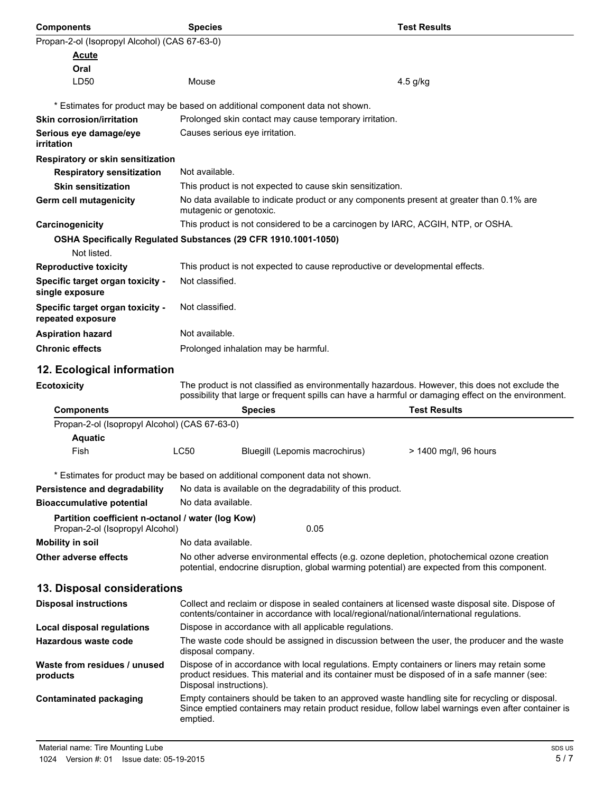| <b>Components</b>                                                                    | <b>Species</b>                                                                                                                                                                                                         |                                                                                                                                                                                             | <b>Test Results</b>                                                                                                                                                                                   |  |  |
|--------------------------------------------------------------------------------------|------------------------------------------------------------------------------------------------------------------------------------------------------------------------------------------------------------------------|---------------------------------------------------------------------------------------------------------------------------------------------------------------------------------------------|-------------------------------------------------------------------------------------------------------------------------------------------------------------------------------------------------------|--|--|
| Propan-2-ol (Isopropyl Alcohol) (CAS 67-63-0)                                        |                                                                                                                                                                                                                        |                                                                                                                                                                                             |                                                                                                                                                                                                       |  |  |
| Acute                                                                                |                                                                                                                                                                                                                        |                                                                                                                                                                                             |                                                                                                                                                                                                       |  |  |
| Oral                                                                                 |                                                                                                                                                                                                                        |                                                                                                                                                                                             |                                                                                                                                                                                                       |  |  |
| LD50                                                                                 | Mouse                                                                                                                                                                                                                  |                                                                                                                                                                                             | 4.5 g/kg                                                                                                                                                                                              |  |  |
|                                                                                      |                                                                                                                                                                                                                        | * Estimates for product may be based on additional component data not shown.                                                                                                                |                                                                                                                                                                                                       |  |  |
| <b>Skin corrosion/irritation</b>                                                     |                                                                                                                                                                                                                        | Prolonged skin contact may cause temporary irritation.                                                                                                                                      |                                                                                                                                                                                                       |  |  |
| Serious eye damage/eye                                                               |                                                                                                                                                                                                                        | Causes serious eye irritation.                                                                                                                                                              |                                                                                                                                                                                                       |  |  |
| irritation                                                                           |                                                                                                                                                                                                                        |                                                                                                                                                                                             |                                                                                                                                                                                                       |  |  |
| <b>Respiratory or skin sensitization</b>                                             |                                                                                                                                                                                                                        |                                                                                                                                                                                             |                                                                                                                                                                                                       |  |  |
| <b>Respiratory sensitization</b>                                                     | Not available.                                                                                                                                                                                                         |                                                                                                                                                                                             |                                                                                                                                                                                                       |  |  |
| <b>Skin sensitization</b>                                                            | This product is not expected to cause skin sensitization.                                                                                                                                                              |                                                                                                                                                                                             |                                                                                                                                                                                                       |  |  |
| Germ cell mutagenicity                                                               | No data available to indicate product or any components present at greater than 0.1% are<br>mutagenic or genotoxic.                                                                                                    |                                                                                                                                                                                             |                                                                                                                                                                                                       |  |  |
| Carcinogenicity                                                                      |                                                                                                                                                                                                                        | This product is not considered to be a carcinogen by IARC, ACGIH, NTP, or OSHA.                                                                                                             |                                                                                                                                                                                                       |  |  |
| OSHA Specifically Regulated Substances (29 CFR 1910.1001-1050)                       |                                                                                                                                                                                                                        |                                                                                                                                                                                             |                                                                                                                                                                                                       |  |  |
| Not listed.                                                                          |                                                                                                                                                                                                                        |                                                                                                                                                                                             |                                                                                                                                                                                                       |  |  |
| <b>Reproductive toxicity</b>                                                         | This product is not expected to cause reproductive or developmental effects.                                                                                                                                           |                                                                                                                                                                                             |                                                                                                                                                                                                       |  |  |
| Specific target organ toxicity -<br>single exposure                                  | Not classified.                                                                                                                                                                                                        |                                                                                                                                                                                             |                                                                                                                                                                                                       |  |  |
| Specific target organ toxicity -<br>repeated exposure                                |                                                                                                                                                                                                                        | Not classified.                                                                                                                                                                             |                                                                                                                                                                                                       |  |  |
| <b>Aspiration hazard</b>                                                             |                                                                                                                                                                                                                        | Not available.                                                                                                                                                                              |                                                                                                                                                                                                       |  |  |
| <b>Chronic effects</b>                                                               |                                                                                                                                                                                                                        | Prolonged inhalation may be harmful.                                                                                                                                                        |                                                                                                                                                                                                       |  |  |
|                                                                                      |                                                                                                                                                                                                                        |                                                                                                                                                                                             |                                                                                                                                                                                                       |  |  |
| 12. Ecological information                                                           |                                                                                                                                                                                                                        |                                                                                                                                                                                             |                                                                                                                                                                                                       |  |  |
| <b>Ecotoxicity</b>                                                                   |                                                                                                                                                                                                                        |                                                                                                                                                                                             | The product is not classified as environmentally hazardous. However, this does not exclude the<br>possibility that large or frequent spills can have a harmful or damaging effect on the environment. |  |  |
| <b>Components</b>                                                                    |                                                                                                                                                                                                                        | <b>Species</b>                                                                                                                                                                              | <b>Test Results</b>                                                                                                                                                                                   |  |  |
| Propan-2-ol (Isopropyl Alcohol) (CAS 67-63-0)                                        |                                                                                                                                                                                                                        |                                                                                                                                                                                             |                                                                                                                                                                                                       |  |  |
| <b>Aquatic</b>                                                                       | <b>LC50</b>                                                                                                                                                                                                            |                                                                                                                                                                                             |                                                                                                                                                                                                       |  |  |
| Fish                                                                                 |                                                                                                                                                                                                                        | Bluegill (Lepomis macrochirus)                                                                                                                                                              | > 1400 mg/l, 96 hours                                                                                                                                                                                 |  |  |
|                                                                                      |                                                                                                                                                                                                                        | * Estimates for product may be based on additional component data not shown.                                                                                                                |                                                                                                                                                                                                       |  |  |
| Persistence and degradability                                                        |                                                                                                                                                                                                                        | No data is available on the degradability of this product.                                                                                                                                  |                                                                                                                                                                                                       |  |  |
| <b>Bioaccumulative potential</b>                                                     |                                                                                                                                                                                                                        | No data available.                                                                                                                                                                          |                                                                                                                                                                                                       |  |  |
| Partition coefficient n-octanol / water (log Kow)<br>Propan-2-ol (Isopropyl Alcohol) |                                                                                                                                                                                                                        | 0.05                                                                                                                                                                                        |                                                                                                                                                                                                       |  |  |
| <b>Mobility in soil</b>                                                              | No data available.                                                                                                                                                                                                     |                                                                                                                                                                                             |                                                                                                                                                                                                       |  |  |
| Other adverse effects                                                                |                                                                                                                                                                                                                        | potential, endocrine disruption, global warming potential) are expected from this component.                                                                                                | No other adverse environmental effects (e.g. ozone depletion, photochemical ozone creation                                                                                                            |  |  |
| 13. Disposal considerations                                                          |                                                                                                                                                                                                                        |                                                                                                                                                                                             |                                                                                                                                                                                                       |  |  |
| <b>Disposal instructions</b>                                                         |                                                                                                                                                                                                                        | Collect and reclaim or dispose in sealed containers at licensed waste disposal site. Dispose of<br>contents/container in accordance with local/regional/national/international regulations. |                                                                                                                                                                                                       |  |  |
| <b>Local disposal regulations</b>                                                    |                                                                                                                                                                                                                        | Dispose in accordance with all applicable regulations.                                                                                                                                      |                                                                                                                                                                                                       |  |  |
| Hazardous waste code                                                                 |                                                                                                                                                                                                                        | The waste code should be assigned in discussion between the user, the producer and the waste<br>disposal company.                                                                           |                                                                                                                                                                                                       |  |  |
| Waste from residues / unused<br>products                                             | Dispose of in accordance with local regulations. Empty containers or liners may retain some<br>product residues. This material and its container must be disposed of in a safe manner (see:<br>Disposal instructions). |                                                                                                                                                                                             |                                                                                                                                                                                                       |  |  |
| <b>Contaminated packaging</b>                                                        | Empty containers should be taken to an approved waste handling site for recycling or disposal.<br>Since emptied containers may retain product residue, follow label warnings even after container is<br>emptied.       |                                                                                                                                                                                             |                                                                                                                                                                                                       |  |  |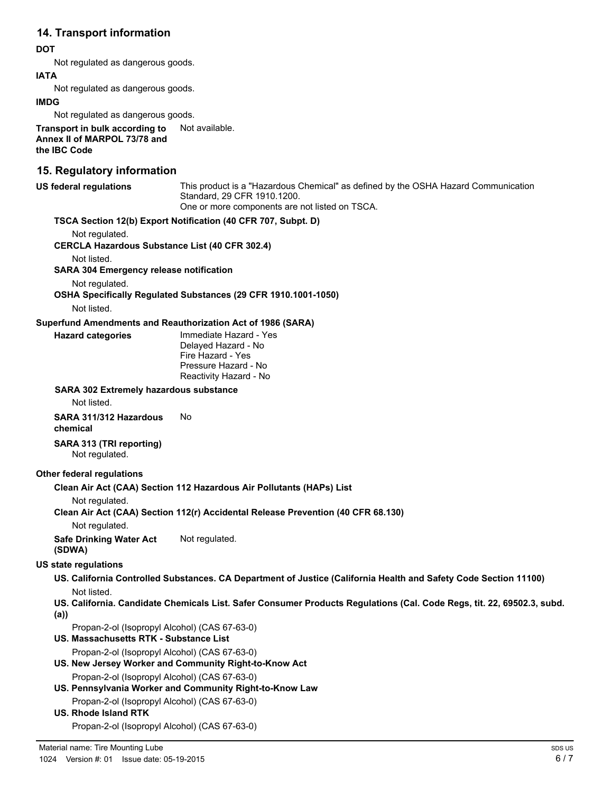## **14. Transport information**

#### **DOT**

Not regulated as dangerous goods.

#### **IATA**

Not regulated as dangerous goods.

#### **IMDG**

Not regulated as dangerous goods.

**Transport in bulk according to** Not available. **Annex II of MARPOL 73/78 and the IBC Code**

## **15. Regulatory information**

| <b>US federal regulations</b>                                                           | This product is a "Hazardous Chemical" as defined by the OSHA Hazard Communication<br>Standard, 29 CFR 1910.1200.<br>One or more components are not listed on TSCA. |
|-----------------------------------------------------------------------------------------|---------------------------------------------------------------------------------------------------------------------------------------------------------------------|
|                                                                                         | TSCA Section 12(b) Export Notification (40 CFR 707, Subpt. D)                                                                                                       |
| Not regulated.<br><b>CERCLA Hazardous Substance List (40 CFR 302.4)</b>                 |                                                                                                                                                                     |
| Not listed.                                                                             |                                                                                                                                                                     |
| <b>SARA 304 Emergency release notification</b>                                          |                                                                                                                                                                     |
| Not regulated.                                                                          |                                                                                                                                                                     |
|                                                                                         | OSHA Specifically Regulated Substances (29 CFR 1910.1001-1050)                                                                                                      |
| Not listed.                                                                             |                                                                                                                                                                     |
|                                                                                         | Superfund Amendments and Reauthorization Act of 1986 (SARA)<br>Immediate Hazard - Yes                                                                               |
| <b>Hazard categories</b>                                                                | Delayed Hazard - No<br>Fire Hazard - Yes<br>Pressure Hazard - No<br>Reactivity Hazard - No                                                                          |
| <b>SARA 302 Extremely hazardous substance</b><br>Not listed.                            |                                                                                                                                                                     |
| SARA 311/312 Hazardous<br>chemical                                                      | No                                                                                                                                                                  |
| SARA 313 (TRI reporting)<br>Not regulated.                                              |                                                                                                                                                                     |
| Other federal regulations                                                               |                                                                                                                                                                     |
| Not regulated.                                                                          | Clean Air Act (CAA) Section 112 Hazardous Air Pollutants (HAPs) List                                                                                                |
| Not regulated.                                                                          | Clean Air Act (CAA) Section 112(r) Accidental Release Prevention (40 CFR 68.130)                                                                                    |
| <b>Safe Drinking Water Act</b><br>(SDWA)                                                | Not regulated.                                                                                                                                                      |
| <b>US state regulations</b>                                                             |                                                                                                                                                                     |
| Not listed.                                                                             | US. California Controlled Substances. CA Department of Justice (California Health and Safety Code Section 11100)                                                    |
| (a)                                                                                     | US. California. Candidate Chemicals List. Safer Consumer Products Regulations (Cal. Code Regs, tit. 22, 69502.3, subd.                                              |
| Propan-2-ol (Isopropyl Alcohol) (CAS 67-63-0)<br>US. Massachusetts RTK - Substance List |                                                                                                                                                                     |
| Propan-2-ol (Isopropyl Alcohol) (CAS 67-63-0)                                           | US. New Jersey Worker and Community Right-to-Know Act                                                                                                               |
| Propan-2-ol (Isopropyl Alcohol) (CAS 67-63-0)                                           | US. Pennsylvania Worker and Community Right-to-Know Law                                                                                                             |
| Propan-2-ol (Isopropyl Alcohol) (CAS 67-63-0)<br><b>US. Rhode Island RTK</b>            |                                                                                                                                                                     |
|                                                                                         |                                                                                                                                                                     |

Propan-2-ol (Isopropyl Alcohol) (CAS 67-63-0)